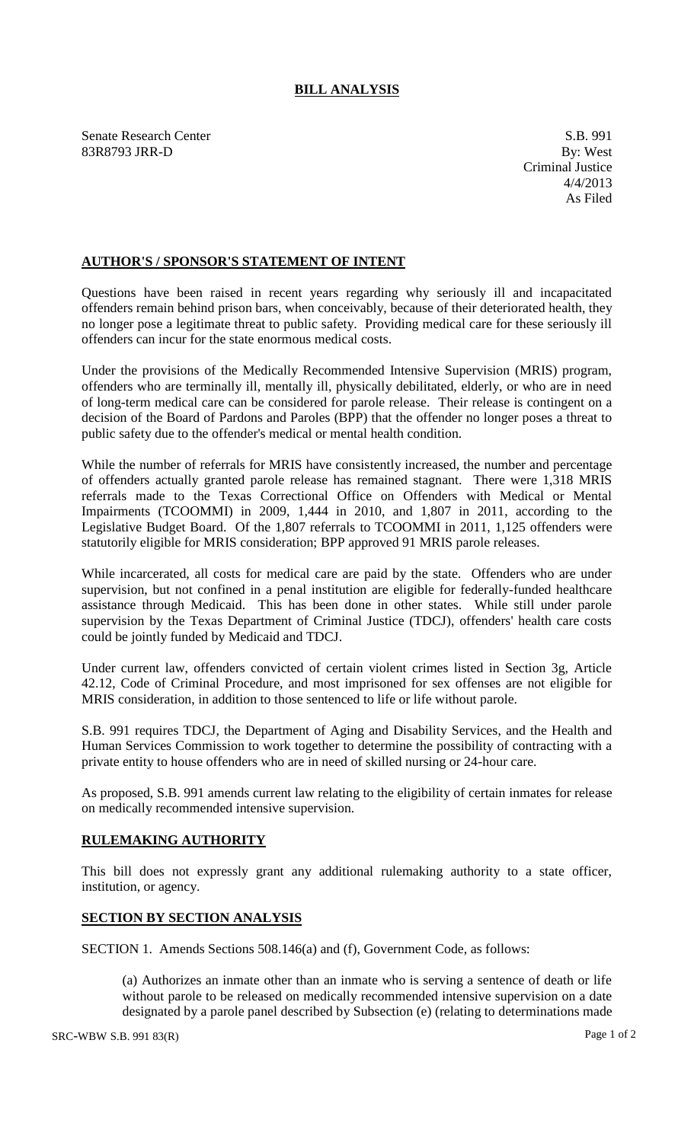## **BILL ANALYSIS**

Senate Research Center S.B. 991 83R8793 JRR-D By: West

## **AUTHOR'S / SPONSOR'S STATEMENT OF INTENT**

Questions have been raised in recent years regarding why seriously ill and incapacitated offenders remain behind prison bars, when conceivably, because of their deteriorated health, they no longer pose a legitimate threat to public safety. Providing medical care for these seriously ill offenders can incur for the state enormous medical costs.

Under the provisions of the Medically Recommended Intensive Supervision (MRIS) program, offenders who are terminally ill, mentally ill, physically debilitated, elderly, or who are in need of long-term medical care can be considered for parole release. Their release is contingent on a decision of the Board of Pardons and Paroles (BPP) that the offender no longer poses a threat to public safety due to the offender's medical or mental health condition.

While the number of referrals for MRIS have consistently increased, the number and percentage of offenders actually granted parole release has remained stagnant. There were 1,318 MRIS referrals made to the Texas Correctional Office on Offenders with Medical or Mental Impairments (TCOOMMI) in 2009, 1,444 in 2010, and 1,807 in 2011, according to the Legislative Budget Board. Of the 1,807 referrals to TCOOMMI in 2011, 1,125 offenders were statutorily eligible for MRIS consideration; BPP approved 91 MRIS parole releases.

While incarcerated, all costs for medical care are paid by the state. Offenders who are under supervision, but not confined in a penal institution are eligible for federally-funded healthcare assistance through Medicaid. This has been done in other states. While still under parole supervision by the Texas Department of Criminal Justice (TDCJ), offenders' health care costs could be jointly funded by Medicaid and TDCJ.

Under current law, offenders convicted of certain violent crimes listed in Section 3g, Article 42.12, Code of Criminal Procedure, and most imprisoned for sex offenses are not eligible for MRIS consideration, in addition to those sentenced to life or life without parole.

S.B. 991 requires TDCJ, the Department of Aging and Disability Services, and the Health and Human Services Commission to work together to determine the possibility of contracting with a private entity to house offenders who are in need of skilled nursing or 24-hour care.

As proposed, S.B. 991 amends current law relating to the eligibility of certain inmates for release on medically recommended intensive supervision.

## **RULEMAKING AUTHORITY**

This bill does not expressly grant any additional rulemaking authority to a state officer, institution, or agency.

## **SECTION BY SECTION ANALYSIS**

SECTION 1. Amends Sections 508.146(a) and (f), Government Code, as follows:

(a) Authorizes an inmate other than an inmate who is serving a sentence of death or life without parole to be released on medically recommended intensive supervision on a date designated by a parole panel described by Subsection (e) (relating to determinations made